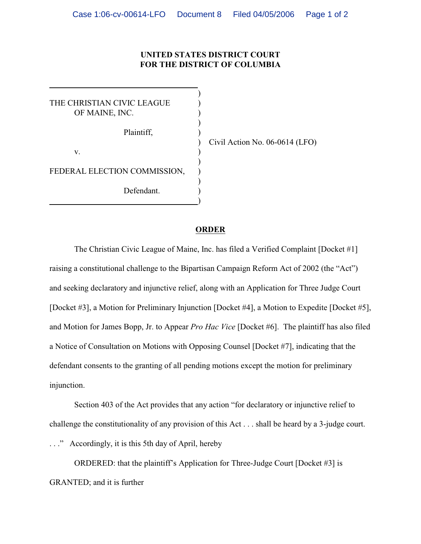## **UNITED STATES DISTRICT COURT FOR THE DISTRICT OF COLUMBIA**

)

)

)

)

THE CHRISTIAN CIVIC LEAGUE OF MAINE, INC. Plaintiff, )  $\mathbf{v}$ . FEDERAL ELECTION COMMISSION, Defendant.

)

 $\overline{a}$ 

) Civil Action No. 06-0614 (LFO)

## **ORDER**

The Christian Civic League of Maine, Inc. has filed a Verified Complaint [Docket #1] raising a constitutional challenge to the Bipartisan Campaign Reform Act of 2002 (the "Act") and seeking declaratory and injunctive relief, along with an Application for Three Judge Court [Docket #3], a Motion for Preliminary Injunction [Docket #4], a Motion to Expedite [Docket #5], and Motion for James Bopp, Jr. to Appear *Pro Hac Vice* [Docket #6]. The plaintiff has also filed a Notice of Consultation on Motions with Opposing Counsel [Docket #7], indicating that the defendant consents to the granting of all pending motions except the motion for preliminary injunction.

Section 403 of the Act provides that any action "for declaratory or injunctive relief to challenge the constitutionality of any provision of this Act . . . shall be heard by a 3-judge court.

. . ." Accordingly, it is this 5th day of April, hereby

ORDERED: that the plaintiff's Application for Three-Judge Court [Docket #3] is GRANTED; and it is further